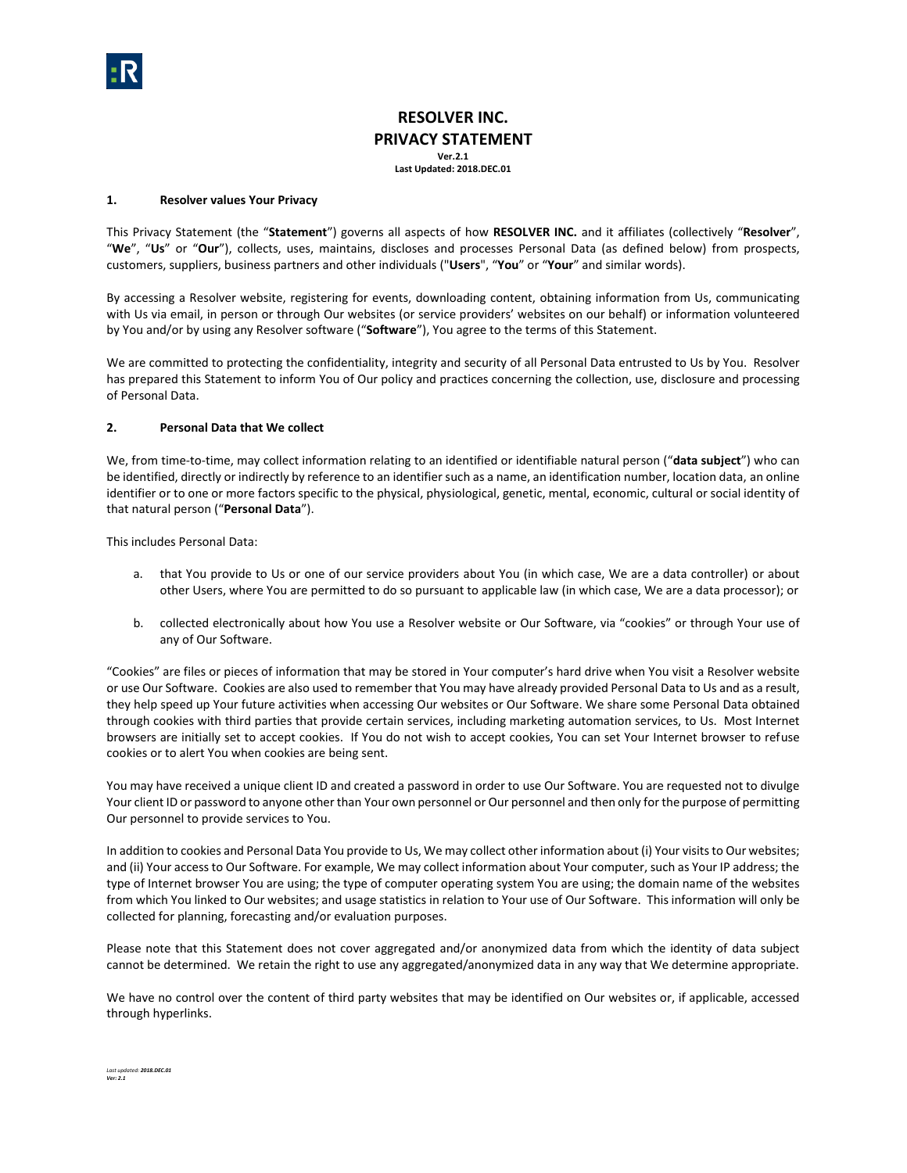# **RESOLVER INC. PRIVACY STATEMENT Ver.2.1**

**Last Updated: 2018.DEC.01**

## **1. Resolver values Your Privacy**

This Privacy Statement (the "**Statement**") governs all aspects of how **RESOLVER INC.** and it affiliates (collectively "**Resolver**", "**We**", "**Us**" or "**Our**"), collects, uses, maintains, discloses and processes Personal Data (as defined below) from prospects, customers, suppliers, business partners and other individuals ("**Users**", "**You**" or "**Your**" and similar words).

By accessing a Resolver website, registering for events, downloading content, obtaining information from Us, communicating with Us via email, in person or through Our websites (or service providers' websites on our behalf) or information volunteered by You and/or by using any Resolver software ("**Software**"), You agree to the terms of this Statement.

We are committed to protecting the confidentiality, integrity and security of all Personal Data entrusted to Us by You. Resolver has prepared this Statement to inform You of Our policy and practices concerning the collection, use, disclosure and processing of Personal Data.

## **2. Personal Data that We collect**

We, from time-to-time, may collect information relating to an identified or identifiable natural person ("**data subject**") who can be identified, directly or indirectly by reference to an identifier such as a name, an identification number, location data, an online identifier or to one or more factors specific to the physical, physiological, genetic, mental, economic, cultural or social identity of that natural person ("**Personal Data**").

This includes Personal Data:

- a. that You provide to Us or one of our service providers about You (in which case, We are a data controller) or about other Users, where You are permitted to do so pursuant to applicable law (in which case, We are a data processor); or
- b. collected electronically about how You use a Resolver website or Our Software, via "cookies" or through Your use of any of Our Software.

"Cookies" are files or pieces of information that may be stored in Your computer's hard drive when You visit a Resolver website or use Our Software. Cookies are also used to remember that You may have already provided Personal Data to Us and as a result, they help speed up Your future activities when accessing Our websites or Our Software. We share some Personal Data obtained through cookies with third parties that provide certain services, including marketing automation services, to Us. Most Internet browsers are initially set to accept cookies. If You do not wish to accept cookies, You can set Your Internet browser to refuse cookies or to alert You when cookies are being sent.

You may have received a unique client ID and created a password in order to use Our Software. You are requested not to divulge Your client ID or password to anyone other than Your own personnel or Our personnel and then only for the purpose of permitting Our personnel to provide services to You.

In addition to cookies and Personal Data You provide to Us, We may collect other information about (i) Your visits to Our websites; and (ii) Your access to Our Software. For example, We may collect information about Your computer, such as Your IP address; the type of Internet browser You are using; the type of computer operating system You are using; the domain name of the websites from which You linked to Our websites; and usage statistics in relation to Your use of Our Software. This information will only be collected for planning, forecasting and/or evaluation purposes.

Please note that this Statement does not cover aggregated and/or anonymized data from which the identity of data subject cannot be determined. We retain the right to use any aggregated/anonymized data in any way that We determine appropriate.

We have no control over the content of third party websites that may be identified on Our websites or, if applicable, accessed through hyperlinks.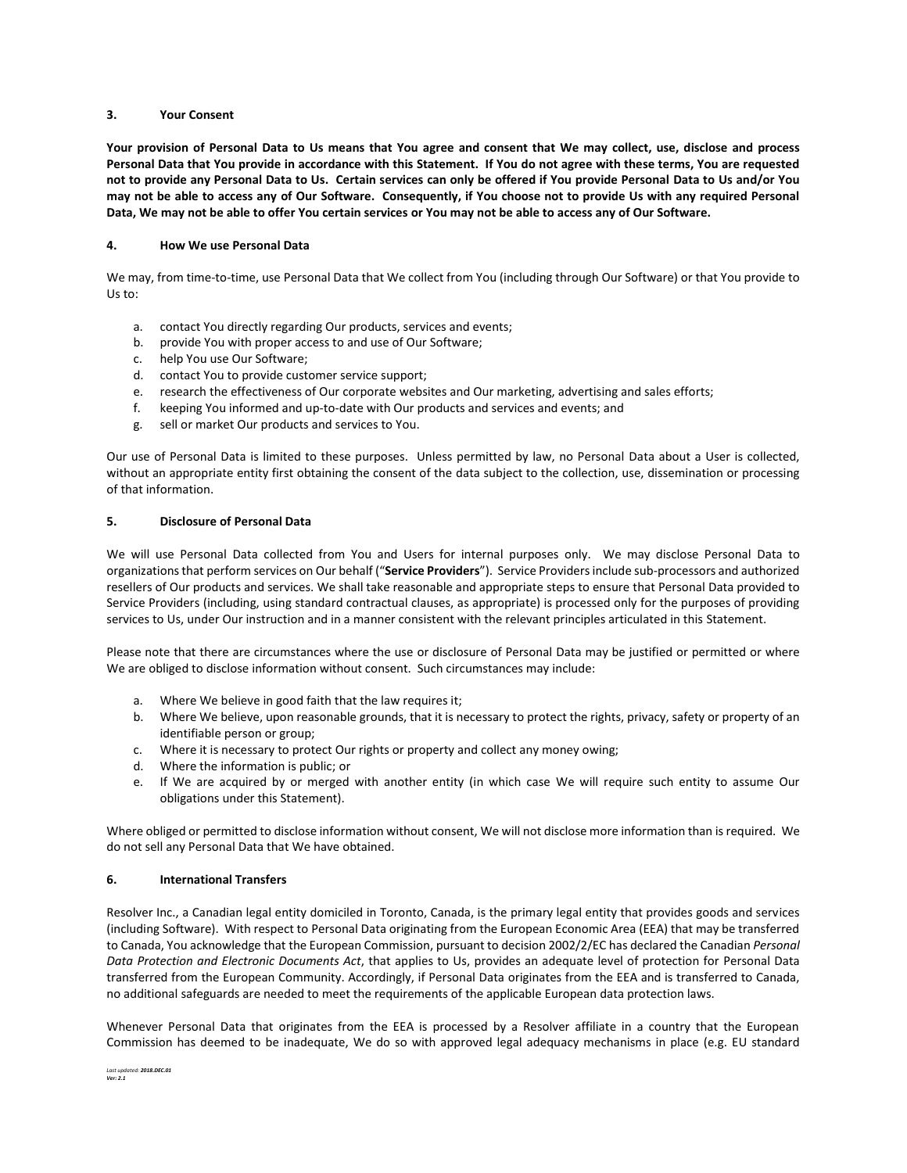#### **3. Your Consent**

**Your provision of Personal Data to Us means that You agree and consent that We may collect, use, disclose and process Personal Data that You provide in accordance with this Statement. If You do not agree with these terms, You are requested not to provide any Personal Data to Us. Certain services can only be offered if You provide Personal Data to Us and/or You may not be able to access any of Our Software. Consequently, if You choose not to provide Us with any required Personal Data, We may not be able to offer You certain services or You may not be able to access any of Our Software.** 

#### **4. How We use Personal Data**

We may, from time-to-time, use Personal Data that We collect from You (including through Our Software) or that You provide to Us to:

- a. contact You directly regarding Our products, services and events;
- b. provide You with proper access to and use of Our Software;
- c. help You use Our Software;
- d. contact You to provide customer service support;
- e. research the effectiveness of Our corporate websites and Our marketing, advertising and sales efforts;
- f. keeping You informed and up-to-date with Our products and services and events; and
- g. sell or market Our products and services to You.

Our use of Personal Data is limited to these purposes. Unless permitted by law, no Personal Data about a User is collected, without an appropriate entity first obtaining the consent of the data subject to the collection, use, dissemination or processing of that information.

## **5. Disclosure of Personal Data**

We will use Personal Data collected from You and Users for internal purposes only. We may disclose Personal Data to organizations that perform services on Our behalf ("**Service Providers**"). Service Providers include sub-processors and authorized resellers of Our products and services. We shall take reasonable and appropriate steps to ensure that Personal Data provided to Service Providers (including, using standard contractual clauses, as appropriate) is processed only for the purposes of providing services to Us, under Our instruction and in a manner consistent with the relevant principles articulated in this Statement.

Please note that there are circumstances where the use or disclosure of Personal Data may be justified or permitted or where We are obliged to disclose information without consent. Such circumstances may include:

- a. Where We believe in good faith that the law requires it;
- b. Where We believe, upon reasonable grounds, that it is necessary to protect the rights, privacy, safety or property of an identifiable person or group;
- c. Where it is necessary to protect Our rights or property and collect any money owing;
- d. Where the information is public; or
- e. If We are acquired by or merged with another entity (in which case We will require such entity to assume Our obligations under this Statement).

Where obliged or permitted to disclose information without consent, We will not disclose more information than is required. We do not sell any Personal Data that We have obtained.

#### **6. International Transfers**

Resolver Inc., a Canadian legal entity domiciled in Toronto, Canada, is the primary legal entity that provides goods and services (including Software). With respect to Personal Data originating from the European Economic Area (EEA) that may be transferred to Canada, You acknowledge that the European Commission, pursuant to decision 2002/2/EC has declared the Canadian *Personal Data Protection and Electronic Documents Act*, that applies to Us, provides an adequate level of protection for Personal Data transferred from the European Community. Accordingly, if Personal Data originates from the EEA and is transferred to Canada, no additional safeguards are needed to meet the requirements of the applicable European data protection laws.

Whenever Personal Data that originates from the EEA is processed by a Resolver affiliate in a country that the European Commission has deemed to be inadequate, We do so with approved legal adequacy mechanisms in place (e.g. EU standard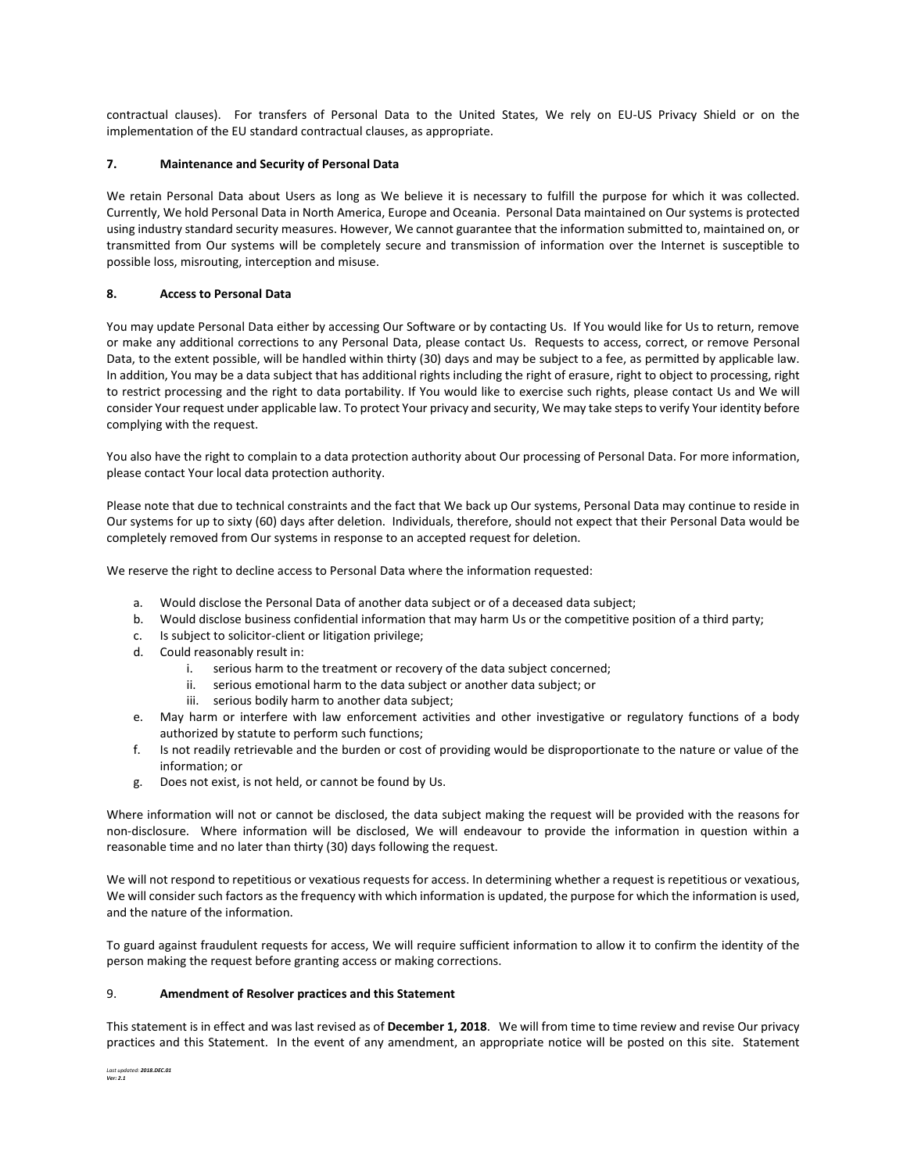contractual clauses). For transfers of Personal Data to the United States, We rely on EU-US Privacy Shield or on the implementation of the EU standard contractual clauses, as appropriate.

## **7. Maintenance and Security of Personal Data**

We retain Personal Data about Users as long as We believe it is necessary to fulfill the purpose for which it was collected. Currently, We hold Personal Data in North America, Europe and Oceania. Personal Data maintained on Our systems is protected using industry standard security measures. However, We cannot guarantee that the information submitted to, maintained on, or transmitted from Our systems will be completely secure and transmission of information over the Internet is susceptible to possible loss, misrouting, interception and misuse.

### **8. Access to Personal Data**

You may update Personal Data either by accessing Our Software or by contacting Us. If You would like for Us to return, remove or make any additional corrections to any Personal Data, please contact Us. Requests to access, correct, or remove Personal Data, to the extent possible, will be handled within thirty (30) days and may be subject to a fee, as permitted by applicable law. In addition, You may be a data subject that has additional rights including the right of erasure, right to object to processing, right to restrict processing and the right to data portability. If You would like to exercise such rights, please contact Us and We will consider Your request under applicable law. To protect Your privacy and security, We may take steps to verify Your identity before complying with the request.

You also have the right to complain to a data protection authority about Our processing of Personal Data. For more information, please contact Your local data protection authority.

Please note that due to technical constraints and the fact that We back up Our systems, Personal Data may continue to reside in Our systems for up to sixty (60) days after deletion. Individuals, therefore, should not expect that their Personal Data would be completely removed from Our systems in response to an accepted request for deletion.

We reserve the right to decline access to Personal Data where the information requested:

- a. Would disclose the Personal Data of another data subject or of a deceased data subject;
- b. Would disclose business confidential information that may harm Us or the competitive position of a third party;
- c. Is subject to solicitor-client or litigation privilege;
- d. Could reasonably result in:
	- i. serious harm to the treatment or recovery of the data subject concerned;
	- ii. serious emotional harm to the data subject or another data subject; or
	- iii. serious bodily harm to another data subject;
- e. May harm or interfere with law enforcement activities and other investigative or regulatory functions of a body authorized by statute to perform such functions;
- f. Is not readily retrievable and the burden or cost of providing would be disproportionate to the nature or value of the information; or
- g. Does not exist, is not held, or cannot be found by Us.

Where information will not or cannot be disclosed, the data subject making the request will be provided with the reasons for non-disclosure. Where information will be disclosed, We will endeavour to provide the information in question within a reasonable time and no later than thirty (30) days following the request.

We will not respond to repetitious or vexatious requests for access. In determining whether a request is repetitious or vexatious, We will consider such factors as the frequency with which information is updated, the purpose for which the information is used, and the nature of the information.

To guard against fraudulent requests for access, We will require sufficient information to allow it to confirm the identity of the person making the request before granting access or making corrections.

#### 9. **Amendment of Resolver practices and this Statement**

This statement is in effect and was last revised as of **December 1, 2018**. We will from time to time review and revise Our privacy practices and this Statement. In the event of any amendment, an appropriate notice will be posted on this site. Statement